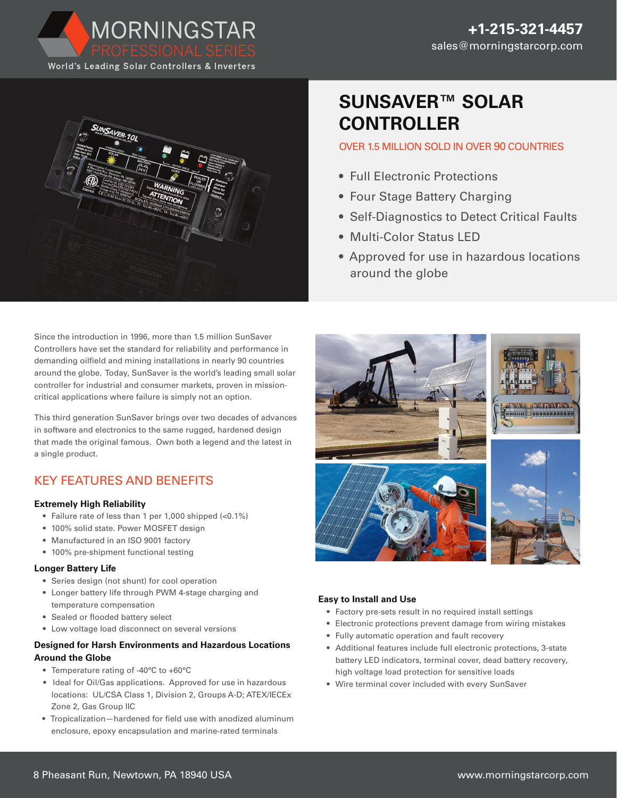

MORNINGSTAR



Since the introduction in 1996, more than 1.5 million SunSaver Controllers have set the standard for reliability and performance in demanding oilfield and mining installations in nearly 90 countries around the globe. Today, SunSaver is the world's leading small solar controller for industrial and consumer markets, proven in missioncritical applications where failure is simply not an option.

This third generation SunSaver brings over two decades of advances in software and electronics to the same rugged, hardened design that made the original famous. Own both a legend and the latest in a single product.

## KEY FEATURES AND BENEFITS

### **Extremely High Reliability**

- Failure rate of less than 1 per 1,000 shipped (<0.1%)
- 100% solid state. Power MOSFET design
- Manufactured in an ISO 9001 factory
- 100% pre-shipment functional testing

### **Longer Battery Life**

- Series design (not shunt) for cool operation
- Longer battery life through PWM 4-stage charging and temperature compensation
- Sealed or flooded battery select
- Low voltage load disconnect on several versions

### **Designed for Harsh Environments and Hazardous Locations Around the Globe**

- Temperature rating of -40°C to +60°C
- Ideal for Oil/Gas applications. Approved for use in hazardous locations: UL/CSA Class 1, Division 2, Groups A-D; ATEX/IECEx Zone 2, Gas Group IIC
- Tropicalization—hardened for field use with anodized aluminum enclosure, epoxy encapsulation and marine-rated terminals

# **SUNSAVER™ SOLAR CONTROLLER**

### OVER 1.5 MILLION SOLD IN OVER 90 COUNTRIES

- Full Electronic Protections
- Four Stage Battery Charging
- Self-Diagnostics to Detect Critical Faults
- Multi-Color Status LED
- Approved for use in hazardous locations around the globe



### **Easy to Install and Use**

- Factory pre-sets result in no required install settings
- Electronic protections prevent damage from wiring mistakes
- Fully automatic operation and fault recovery
- Additional features include full electronic protections, 3-state battery LED indicators, terminal cover, dead battery recovery, high voltage load protection for sensitive loads
- Wire terminal cover included with every SunSaver